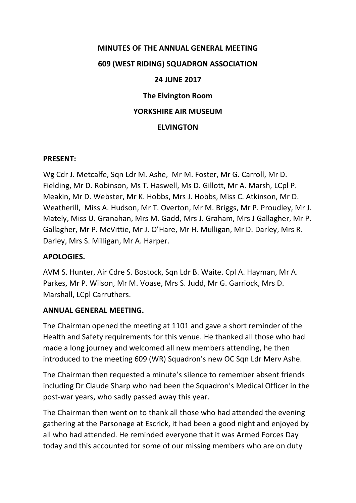# **MINUTES OF THE ANNUAL GENERAL MEETING 609 (WEST RIDING) SQUADRON ASSOCIATION 24 JUNE 2017 The Elvington Room YORKSHIRE AIR MUSEUM ELVINGTON**

#### **PRESENT:**

Wg Cdr J. Metcalfe, Sqn Ldr M. Ashe, Mr M. Foster, Mr G. Carroll, Mr D. Fielding, Mr D. Robinson, Ms T. Haswell, Ms D. Gillott, Mr A. Marsh, LCpl P. Meakin, Mr D. Webster, Mr K. Hobbs, Mrs J. Hobbs, Miss C. Atkinson, Mr D. Weatherill, Miss A. Hudson, Mr T. Overton, Mr M. Briggs, Mr P. Proudley, Mr J. Mately, Miss U. Granahan, Mrs M. Gadd, Mrs J. Graham, Mrs J Gallagher, Mr P. Gallagher, Mr P. McVittie, Mr J. O'Hare, Mr H. Mulligan, Mr D. Darley, Mrs R. Darley, Mrs S. Milligan, Mr A. Harper.

#### **APOLOGIES.**

AVM S. Hunter, Air Cdre S. Bostock, Sqn Ldr B. Waite. Cpl A. Hayman, Mr A. Parkes, Mr P. Wilson, Mr M. Voase, Mrs S. Judd, Mr G. Garriock, Mrs D. Marshall, LCpl Carruthers.

#### **ANNUAL GENERAL MEETING.**

The Chairman opened the meeting at 1101 and gave a short reminder of the Health and Safety requirements for this venue. He thanked all those who had made a long journey and welcomed all new members attending, he then introduced to the meeting 609 (WR) Squadron's new OC Sqn Ldr Merv Ashe.

The Chairman then requested a minute's silence to remember absent friends including Dr Claude Sharp who had been the Squadron's Medical Officer in the post-war years, who sadly passed away this year.

The Chairman then went on to thank all those who had attended the evening gathering at the Parsonage at Escrick, it had been a good night and enjoyed by all who had attended. He reminded everyone that it was Armed Forces Day today and this accounted for some of our missing members who are on duty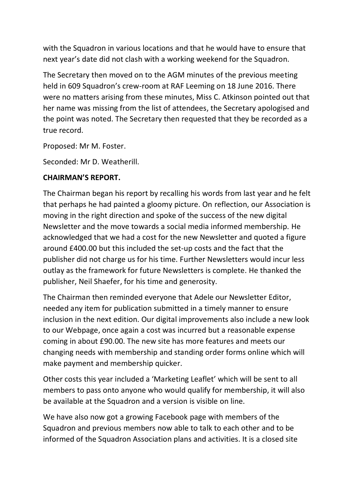with the Squadron in various locations and that he would have to ensure that next year's date did not clash with a working weekend for the Squadron.

The Secretary then moved on to the AGM minutes of the previous meeting held in 609 Squadron's crew-room at RAF Leeming on 18 June 2016. There were no matters arising from these minutes, Miss C. Atkinson pointed out that her name was missing from the list of attendees, the Secretary apologised and the point was noted. The Secretary then requested that they be recorded as a true record.

Proposed: Mr M. Foster.

Seconded: Mr D. Weatherill.

## **CHAIRMAN'S REPORT.**

The Chairman began his report by recalling his words from last year and he felt that perhaps he had painted a gloomy picture. On reflection, our Association is moving in the right direction and spoke of the success of the new digital Newsletter and the move towards a social media informed membership. He acknowledged that we had a cost for the new Newsletter and quoted a figure around £400.00 but this included the set-up costs and the fact that the publisher did not charge us for his time. Further Newsletters would incur less outlay as the framework for future Newsletters is complete. He thanked the publisher, Neil Shaefer, for his time and generosity.

The Chairman then reminded everyone that Adele our Newsletter Editor, needed any item for publication submitted in a timely manner to ensure inclusion in the next edition. Our digital improvements also include a new look to our Webpage, once again a cost was incurred but a reasonable expense coming in about £90.00. The new site has more features and meets our changing needs with membership and standing order forms online which will make payment and membership quicker.

Other costs this year included a 'Marketing Leaflet' which will be sent to all members to pass onto anyone who would qualify for membership, it will also be available at the Squadron and a version is visible on line.

We have also now got a growing Facebook page with members of the Squadron and previous members now able to talk to each other and to be informed of the Squadron Association plans and activities. It is a closed site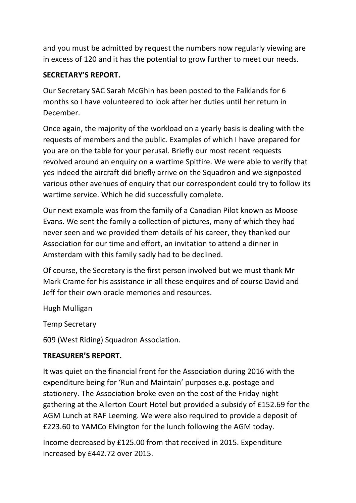and you must be admitted by request the numbers now regularly viewing are in excess of 120 and it has the potential to grow further to meet our needs.

# **SECRETARY'S REPORT.**

Our Secretary SAC Sarah McGhin has been posted to the Falklands for 6 months so I have volunteered to look after her duties until her return in December.

Once again, the majority of the workload on a yearly basis is dealing with the requests of members and the public. Examples of which I have prepared for you are on the table for your perusal. Briefly our most recent requests revolved around an enquiry on a wartime Spitfire. We were able to verify that yes indeed the aircraft did briefly arrive on the Squadron and we signposted various other avenues of enquiry that our correspondent could try to follow its wartime service. Which he did successfully complete.

Our next example was from the family of a Canadian Pilot known as Moose Evans. We sent the family a collection of pictures, many of which they had never seen and we provided them details of his career, they thanked our Association for our time and effort, an invitation to attend a dinner in Amsterdam with this family sadly had to be declined.

Of course, the Secretary is the first person involved but we must thank Mr Mark Crame for his assistance in all these enquires and of course David and Jeff for their own oracle memories and resources.

Hugh Mulligan

Temp Secretary

609 (West Riding) Squadron Association.

# **TREASURER'S REPORT.**

It was quiet on the financial front for the Association during 2016 with the expenditure being for 'Run and Maintain' purposes e.g. postage and stationery. The Association broke even on the cost of the Friday night gathering at the Allerton Court Hotel but provided a subsidy of £152.69 for the AGM Lunch at RAF Leeming. We were also required to provide a deposit of £223.60 to YAMCo Elvington for the lunch following the AGM today.

Income decreased by £125.00 from that received in 2015. Expenditure increased by £442.72 over 2015.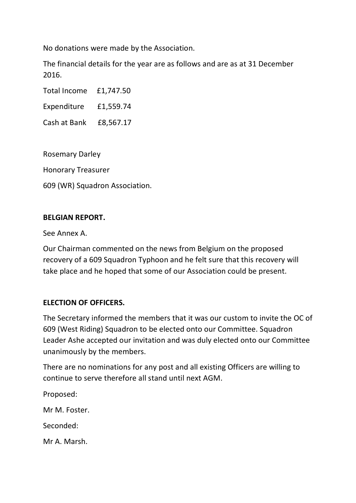No donations were made by the Association.

The financial details for the year are as follows and are as at 31 December 2016.

Total Income £1,747.50

Expenditure £1,559.74

Cash at Bank £8,567.17

Rosemary Darley

Honorary Treasurer

609 (WR) Squadron Association.

## **BELGIAN REPORT.**

See Annex A.

Our Chairman commented on the news from Belgium on the proposed recovery of a 609 Squadron Typhoon and he felt sure that this recovery will take place and he hoped that some of our Association could be present.

## **ELECTION OF OFFICERS.**

The Secretary informed the members that it was our custom to invite the OC of 609 (West Riding) Squadron to be elected onto our Committee. Squadron Leader Ashe accepted our invitation and was duly elected onto our Committee unanimously by the members.

There are no nominations for any post and all existing Officers are willing to continue to serve therefore all stand until next AGM.

Proposed:

Mr M. Foster.

Seconded:

Mr A. Marsh.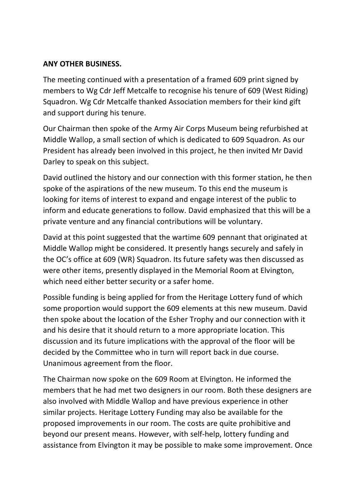## **ANY OTHER BUSINESS.**

The meeting continued with a presentation of a framed 609 print signed by members to Wg Cdr Jeff Metcalfe to recognise his tenure of 609 (West Riding) Squadron. Wg Cdr Metcalfe thanked Association members for their kind gift and support during his tenure.

Our Chairman then spoke of the Army Air Corps Museum being refurbished at Middle Wallop, a small section of which is dedicated to 609 Squadron. As our President has already been involved in this project, he then invited Mr David Darley to speak on this subject.

David outlined the history and our connection with this former station, he then spoke of the aspirations of the new museum. To this end the museum is looking for items of interest to expand and engage interest of the public to inform and educate generations to follow. David emphasized that this will be a private venture and any financial contributions will be voluntary.

David at this point suggested that the wartime 609 pennant that originated at Middle Wallop might be considered. It presently hangs securely and safely in the OC's office at 609 (WR) Squadron. Its future safety was then discussed as were other items, presently displayed in the Memorial Room at Elvington, which need either better security or a safer home.

Possible funding is being applied for from the Heritage Lottery fund of which some proportion would support the 609 elements at this new museum. David then spoke about the location of the Esher Trophy and our connection with it and his desire that it should return to a more appropriate location. This discussion and its future implications with the approval of the floor will be decided by the Committee who in turn will report back in due course. Unanimous agreement from the floor.

The Chairman now spoke on the 609 Room at Elvington. He informed the members that he had met two designers in our room. Both these designers are also involved with Middle Wallop and have previous experience in other similar projects. Heritage Lottery Funding may also be available for the proposed improvements in our room. The costs are quite prohibitive and beyond our present means. However, with self-help, lottery funding and assistance from Elvington it may be possible to make some improvement. Once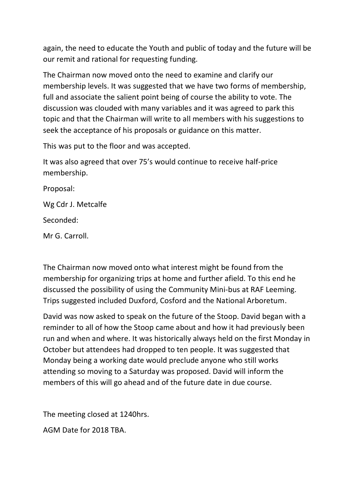again, the need to educate the Youth and public of today and the future will be our remit and rational for requesting funding.

The Chairman now moved onto the need to examine and clarify our membership levels. It was suggested that we have two forms of membership, full and associate the salient point being of course the ability to vote. The discussion was clouded with many variables and it was agreed to park this topic and that the Chairman will write to all members with his suggestions to seek the acceptance of his proposals or guidance on this matter.

This was put to the floor and was accepted.

It was also agreed that over 75's would continue to receive half-price membership.

Proposal:

Wg Cdr J. Metcalfe

Seconded:

Mr G. Carroll.

The Chairman now moved onto what interest might be found from the membership for organizing trips at home and further afield. To this end he discussed the possibility of using the Community Mini-bus at RAF Leeming. Trips suggested included Duxford, Cosford and the National Arboretum.

David was now asked to speak on the future of the Stoop. David began with a reminder to all of how the Stoop came about and how it had previously been run and when and where. It was historically always held on the first Monday in October but attendees had dropped to ten people. It was suggested that Monday being a working date would preclude anyone who still works attending so moving to a Saturday was proposed. David will inform the members of this will go ahead and of the future date in due course.

The meeting closed at 1240hrs.

AGM Date for 2018 TBA.